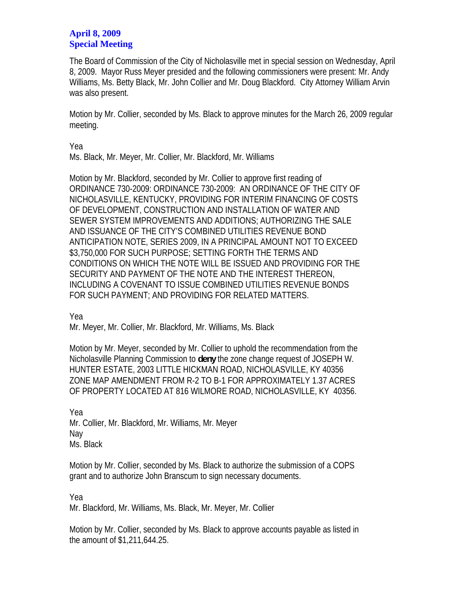## **April 8, 2009 Special Meeting**

The Board of Commission of the City of Nicholasville met in special session on Wednesday, April 8, 2009. Mayor Russ Meyer presided and the following commissioners were present: Mr. Andy Williams, Ms. Betty Black, Mr. John Collier and Mr. Doug Blackford. City Attorney William Arvin was also present.

Motion by Mr. Collier, seconded by Ms. Black to approve minutes for the March 26, 2009 regular meeting.

Yea

Ms. Black, Mr. Meyer, Mr. Collier, Mr. Blackford, Mr. Williams

Motion by Mr. Blackford, seconded by Mr. Collier to approve first reading of ORDINANCE 730-2009: ORDINANCE 730-2009: AN ORDINANCE OF THE CITY OF NICHOLASVILLE, KENTUCKY, PROVIDING FOR INTERIM FINANCING OF COSTS OF DEVELOPMENT, CONSTRUCTION AND INSTALLATION OF WATER AND SEWER SYSTEM IMPROVEMENTS AND ADDITIONS; AUTHORIZING THE SALE AND ISSUANCE OF THE CITY'S COMBINED UTILITIES REVENUE BOND ANTICIPATION NOTE, SERIES 2009, IN A PRINCIPAL AMOUNT NOT TO EXCEED \$3,750,000 FOR SUCH PURPOSE; SETTING FORTH THE TERMS AND CONDITIONS ON WHICH THE NOTE WILL BE ISSUED AND PROVIDING FOR THE SECURITY AND PAYMENT OF THE NOTE AND THE INTEREST THEREON, INCLUDING A COVENANT TO ISSUE COMBINED UTILITIES REVENUE BONDS FOR SUCH PAYMENT; AND PROVIDING FOR RELATED MATTERS.

Yea

Mr. Meyer, Mr. Collier, Mr. Blackford, Mr. Williams, Ms. Black

Motion by Mr. Meyer, seconded by Mr. Collier to uphold the recommendation from the Nicholasville Planning Commission to **deny** the zone change request of JOSEPH W. HUNTER ESTATE, 2003 LITTLE HICKMAN ROAD, NICHOLASVILLE, KY 40356 ZONE MAP AMENDMENT FROM R-2 TO B-1 FOR APPROXIMATELY 1.37 ACRES OF PROPERTY LOCATED AT 816 WILMORE ROAD, NICHOLASVILLE, KY 40356.

Yea Mr. Collier, Mr. Blackford, Mr. Williams, Mr. Meyer Nay Ms. Black

Motion by Mr. Collier, seconded by Ms. Black to authorize the submission of a COPS grant and to authorize John Branscum to sign necessary documents.

Yea

Mr. Blackford, Mr. Williams, Ms. Black, Mr. Meyer, Mr. Collier

Motion by Mr. Collier, seconded by Ms. Black to approve accounts payable as listed in the amount of \$1,211,644.25.